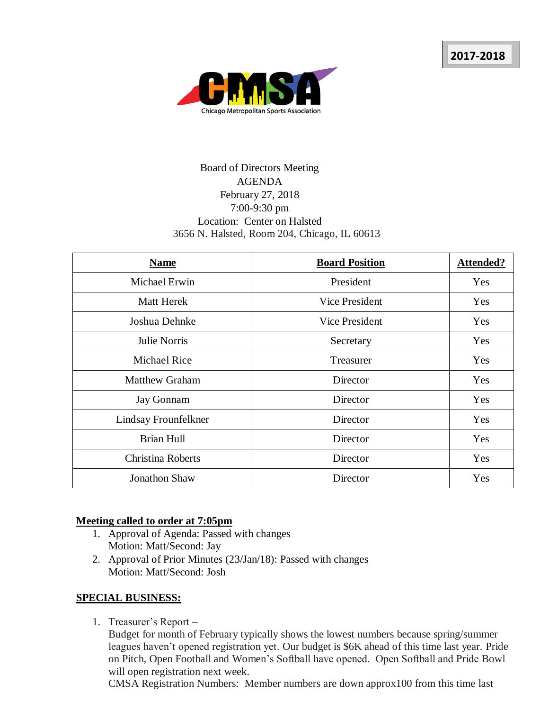

# Board of Directors Meeting AGENDA February 27, 2018 7:00-9:30 pm Location: Center on Halsted 3656 N. Halsted, Room 204, Chicago, IL 60613

| <b>Name</b>           | <b>Board Position</b> | <b>Attended?</b> |
|-----------------------|-----------------------|------------------|
| <b>Michael Erwin</b>  | President             | Yes              |
| Matt Herek            | Vice President        | Yes              |
| Joshua Dehnke         | Vice President        | Yes              |
| Julie Norris          | Secretary             | Yes              |
| <b>Michael Rice</b>   | Treasurer             | Yes              |
| <b>Matthew Graham</b> | Director              | Yes              |
| <b>Jay Gonnam</b>     | Director              | Yes              |
| Lindsay Frounfelkner  | Director              | Yes              |
| Brian Hull            | Director              | Yes              |
| Christina Roberts     | Director              | Yes              |
| Jonathon Shaw         | Director              | Yes              |

### **Meeting called to order at 7:05pm**

- 1. Approval of Agenda: Passed with changes Motion: Matt/Second: Jay
- 2. Approval of Prior Minutes (23/Jan/18): Passed with changes Motion: Matt/Second: Josh

### **SPECIAL BUSINESS:**

1. Treasurer's Report –

Budget for month of February typically shows the lowest numbers because spring/summer leagues haven't opened registration yet. Our budget is \$6K ahead of this time last year. Pride on Pitch, Open Football and Women's Softball have opened. Open Softball and Pride Bowl will open registration next week.

CMSA Registration Numbers: Member numbers are down approx100 from this time last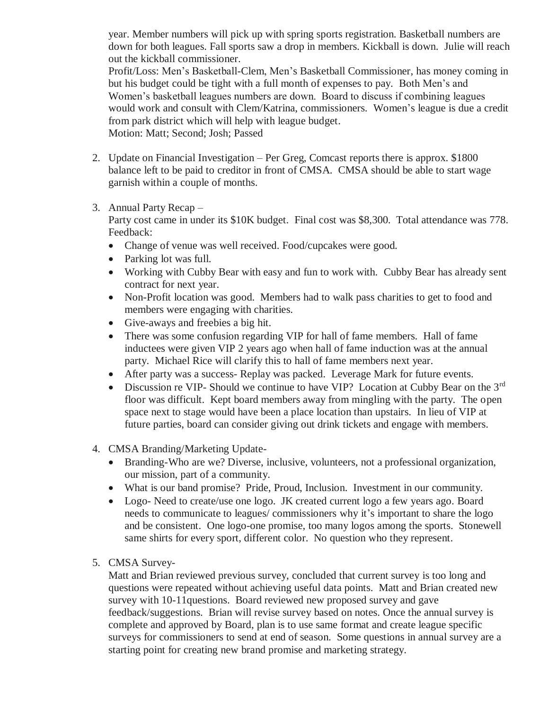year. Member numbers will pick up with spring sports registration. Basketball numbers are down for both leagues. Fall sports saw a drop in members. Kickball is down. Julie will reach out the kickball commissioner.

Profit/Loss: Men's Basketball-Clem, Men's Basketball Commissioner, has money coming in but his budget could be tight with a full month of expenses to pay. Both Men's and Women's basketball leagues numbers are down. Board to discuss if combining leagues would work and consult with Clem/Katrina, commissioners. Women's league is due a credit from park district which will help with league budget. Motion: Matt; Second; Josh; Passed

- 2. Update on Financial Investigation Per Greg, Comcast reports there is approx. \$1800 balance left to be paid to creditor in front of CMSA. CMSA should be able to start wage garnish within a couple of months.
- 3. Annual Party Recap –

Party cost came in under its \$10K budget. Final cost was \$8,300. Total attendance was 778. Feedback:

- Change of venue was well received. Food/cupcakes were good.
- Parking lot was full.
- Working with Cubby Bear with easy and fun to work with. Cubby Bear has already sent contract for next year.
- Non-Profit location was good. Members had to walk pass charities to get to food and members were engaging with charities.
- Give-aways and freebies a big hit.
- There was some confusion regarding VIP for hall of fame members. Hall of fame inductees were given VIP 2 years ago when hall of fame induction was at the annual party. Michael Rice will clarify this to hall of fame members next year.
- After party was a success- Replay was packed. Leverage Mark for future events.
- Discussion re VIP- Should we continue to have VIP? Location at Cubby Bear on the 3rd floor was difficult. Kept board members away from mingling with the party. The open space next to stage would have been a place location than upstairs. In lieu of VIP at future parties, board can consider giving out drink tickets and engage with members.
- 4. CMSA Branding/Marketing Update-
	- Branding-Who are we? Diverse, inclusive, volunteers, not a professional organization, our mission, part of a community.
	- What is our band promise? Pride, Proud, Inclusion. Investment in our community.
	- Logo- Need to create/use one logo. JK created current logo a few years ago. Board needs to communicate to leagues/ commissioners why it's important to share the logo and be consistent. One logo-one promise, too many logos among the sports. Stonewell same shirts for every sport, different color. No question who they represent.
- 5. CMSA Survey-

Matt and Brian reviewed previous survey, concluded that current survey is too long and questions were repeated without achieving useful data points. Matt and Brian created new survey with 10-11questions. Board reviewed new proposed survey and gave feedback/suggestions. Brian will revise survey based on notes. Once the annual survey is complete and approved by Board, plan is to use same format and create league specific surveys for commissioners to send at end of season. Some questions in annual survey are a starting point for creating new brand promise and marketing strategy.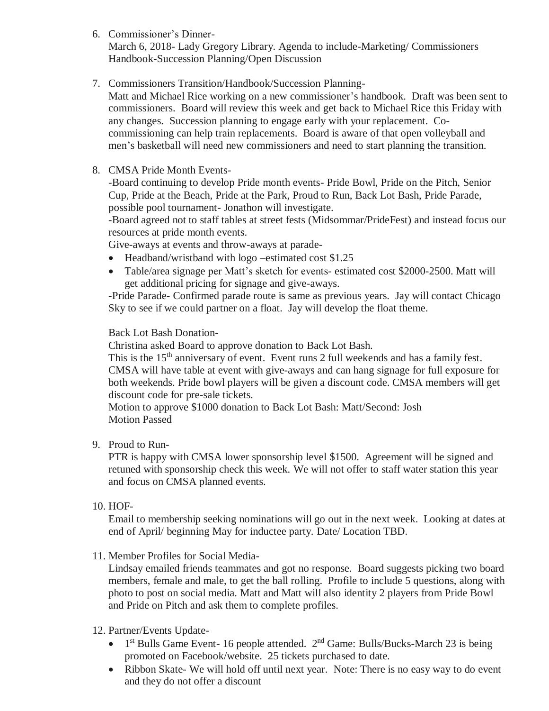6. Commissioner's Dinner-

March 6, 2018- Lady Gregory Library. Agenda to include-Marketing/ Commissioners Handbook-Succession Planning/Open Discussion

7. Commissioners Transition/Handbook/Succession Planning-

Matt and Michael Rice working on a new commissioner's handbook. Draft was been sent to commissioners. Board will review this week and get back to Michael Rice this Friday with any changes. Succession planning to engage early with your replacement. Cocommissioning can help train replacements. Board is aware of that open volleyball and men's basketball will need new commissioners and need to start planning the transition.

8. CMSA Pride Month Events-

-Board continuing to develop Pride month events- Pride Bowl, Pride on the Pitch, Senior Cup, Pride at the Beach, Pride at the Park, Proud to Run, Back Lot Bash, Pride Parade, possible pool tournament- Jonathon will investigate.

-Board agreed not to staff tables at street fests (Midsommar/PrideFest) and instead focus our resources at pride month events.

Give-aways at events and throw-aways at parade-

- Headband/wristband with logo –estimated cost \$1.25
- Table/area signage per Matt's sketch for events- estimated cost \$2000-2500. Matt will get additional pricing for signage and give-aways.

-Pride Parade- Confirmed parade route is same as previous years. Jay will contact Chicago Sky to see if we could partner on a float. Jay will develop the float theme.

## Back Lot Bash Donation-

Christina asked Board to approve donation to Back Lot Bash.

This is the 15<sup>th</sup> anniversary of event. Event runs 2 full weekends and has a family fest. CMSA will have table at event with give-aways and can hang signage for full exposure for both weekends. Pride bowl players will be given a discount code. CMSA members will get discount code for pre-sale tickets.

Motion to approve \$1000 donation to Back Lot Bash: Matt/Second: Josh Motion Passed

9. Proud to Run-

PTR is happy with CMSA lower sponsorship level \$1500. Agreement will be signed and retuned with sponsorship check this week. We will not offer to staff water station this year and focus on CMSA planned events.

10. HOF-

Email to membership seeking nominations will go out in the next week. Looking at dates at end of April/ beginning May for inductee party. Date/ Location TBD.

11. Member Profiles for Social Media-

Lindsay emailed friends teammates and got no response. Board suggests picking two board members, female and male, to get the ball rolling. Profile to include 5 questions, along with photo to post on social media. Matt and Matt will also identity 2 players from Pride Bowl and Pride on Pitch and ask them to complete profiles.

- 12. Partner/Events Update-
	- $1<sup>st</sup>$  Bulls Game Event- 16 people attended.  $2<sup>nd</sup>$  Game: Bulls/Bucks-March 23 is being promoted on Facebook/website. 25 tickets purchased to date.
	- Ribbon Skate- We will hold off until next year. Note: There is no easy way to do event and they do not offer a discount